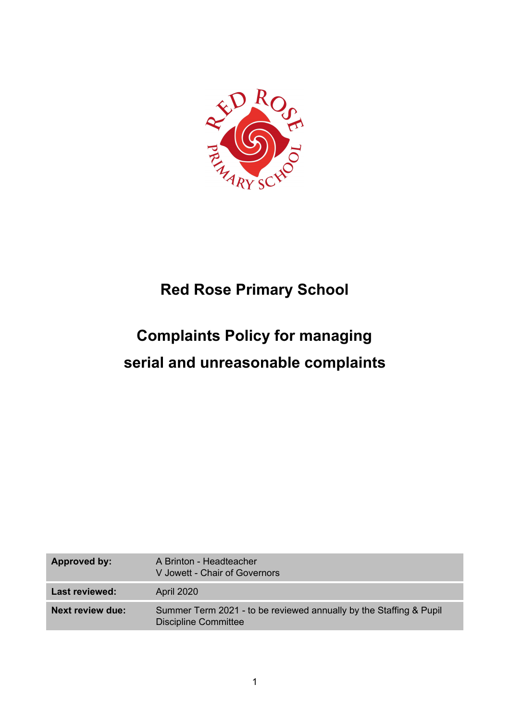

## **Red Rose Primary School**

## **Complaints Policy for managing serial and unreasonable complaints**

| Approved by:            | A Brinton - Headteacher<br>V Jowett - Chair of Governors                                          |
|-------------------------|---------------------------------------------------------------------------------------------------|
| Last reviewed:          | April 2020                                                                                        |
| <b>Next review due:</b> | Summer Term 2021 - to be reviewed annually by the Staffing & Pupil<br><b>Discipline Committee</b> |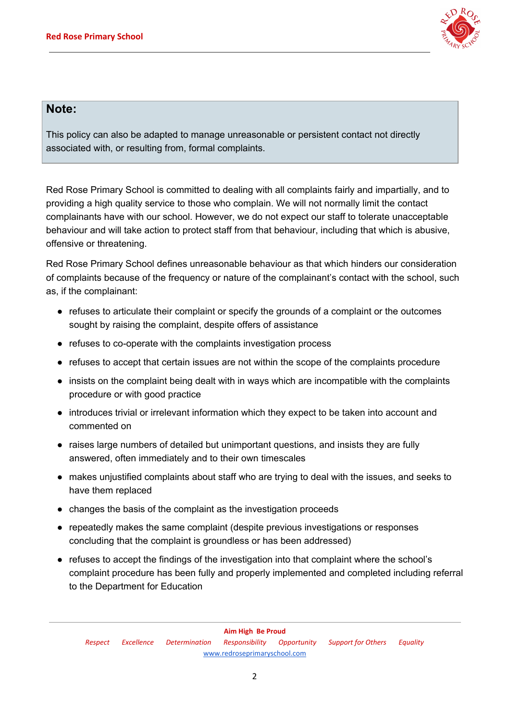

## **Note:**

This policy can also be adapted to manage unreasonable or persistent contact not directly associated with, or resulting from, formal complaints.

Red Rose Primary School is committed to dealing with all complaints fairly and impartially, and to providing a high quality service to those who complain. We will not normally limit the contact complainants have with our school. However, we do not expect our staff to tolerate unacceptable behaviour and will take action to protect staff from that behaviour, including that which is abusive, offensive or threatening.

Red Rose Primary School defines unreasonable behaviour as that which hinders our consideration of complaints because of the frequency or nature of the complainant's contact with the school, such as, if the complainant:

- refuses to articulate their complaint or specify the grounds of a complaint or the outcomes sought by raising the complaint, despite offers of assistance
- refuses to co-operate with the complaints investigation process
- refuses to accept that certain issues are not within the scope of the complaints procedure
- insists on the complaint being dealt with in ways which are incompatible with the complaints procedure or with good practice
- introduces trivial or irrelevant information which they expect to be taken into account and commented on
- raises large numbers of detailed but unimportant questions, and insists they are fully answered, often immediately and to their own timescales
- makes unjustified complaints about staff who are trying to deal with the issues, and seeks to have them replaced
- changes the basis of the complaint as the investigation proceeds
- repeatedly makes the same complaint (despite previous investigations or responses concluding that the complaint is groundless or has been addressed)
- refuses to accept the findings of the investigation into that complaint where the school's complaint procedure has been fully and properly implemented and completed including referral to the Department for Education